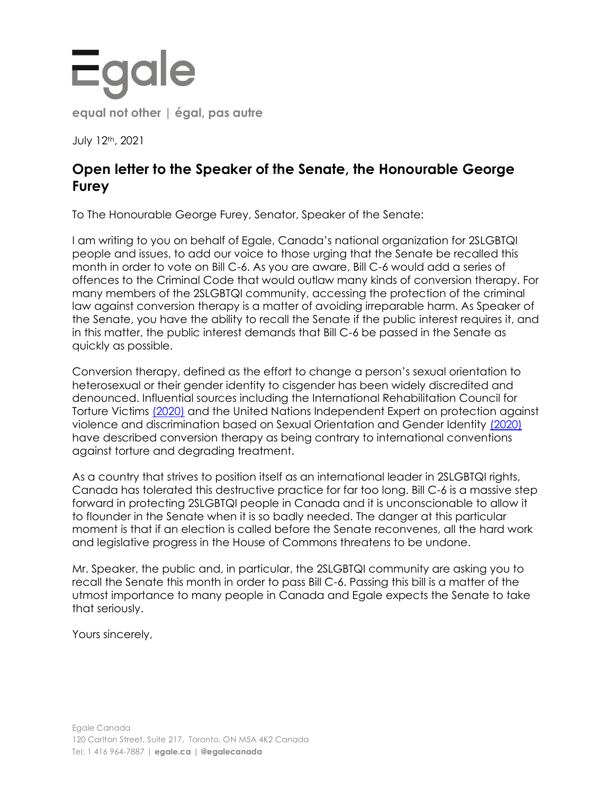## Egale **equal not other | égal, pas autre**

July 12th, 2021

## **Open letter to the Speaker of the Senate, the Honourable George Furey**

To The Honourable George Furey, Senator, Speaker of the Senate:

I am writing to you on behalf of Egale, Canada's national organization for 2SLGBTQI people and issues, to add our voice to those urging that the Senate be recalled this month in order to vote on Bill C-6. As you are aware, Bill C-6 would add a series of offences to the Criminal Code that would outlaw many kinds of conversion therapy. For many members of the 2SLGBTQI community, accessing the protection of the criminal law against conversion therapy is a matter of avoiding irreparable harm. As Speaker of the Senate, you have the ability to recall the Senate if the public interest requires it, and in this matter, the public interest demands that Bill C-6 be passed in the Senate as quickly as possible.

Conversion therapy, defined as the effort to change a person's sexual orientation to heterosexual or their gender identity to cisgender has been widely discredited and denounced. Influential sources including the International Rehabilitation Council for Torture Victims [\(2020\)](https://irct.org/media-and-resources/latest-news/article/1027) and the United Nations Independent Expert on protection against violence and discrimination based on Sexual Orientation and Gender Identity [\(2020\)](https://www.un.org/en/ga/search/view_doc.asp?symbol=A/HRC/44/53) have described conversion therapy as being contrary to international conventions against torture and degrading treatment.

As a country that strives to position itself as an international leader in 2SLGBTQI rights, Canada has tolerated this destructive practice for far too long. Bill C-6 is a massive step forward in protecting 2SLGBTQI people in Canada and it is unconscionable to allow it to flounder in the Senate when it is so badly needed. The danger at this particular moment is that if an election is called before the Senate reconvenes, all the hard work and legislative progress in the House of Commons threatens to be undone.

Mr. Speaker, the public and, in particular, the 2SLGBTQI community are asking you to recall the Senate this month in order to pass Bill C-6. Passing this bill is a matter of the utmost importance to many people in Canada and Egale expects the Senate to take that seriously.

Yours sincerely,